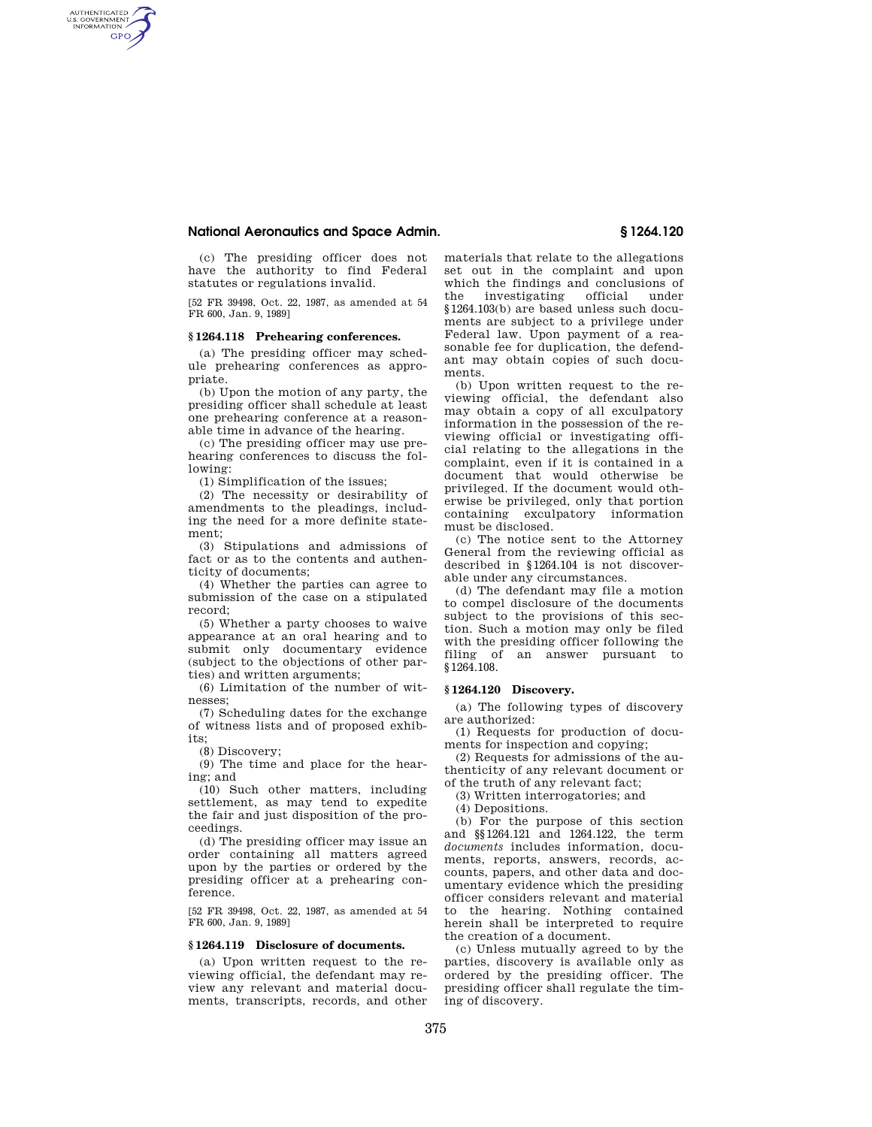# **National Aeronautics and Space Admin. § 1264.120**

AUTHENTICATED<br>U.S. GOVERNMENT<br>INFORMATION **GPO** 

> (c) The presiding officer does not have the authority to find Federal statutes or regulations invalid.

> [52 FR 39498, Oct. 22, 1987, as amended at 54 FR 600, Jan. 9, 1989]

### **§ 1264.118 Prehearing conferences.**

(a) The presiding officer may schedule prehearing conferences as appropriate.

(b) Upon the motion of any party, the presiding officer shall schedule at least one prehearing conference at a reasonable time in advance of the hearing.

(c) The presiding officer may use prehearing conferences to discuss the following:

(1) Simplification of the issues;

(2) The necessity or desirability of amendments to the pleadings, including the need for a more definite statement;

(3) Stipulations and admissions of fact or as to the contents and authenticity of documents;

(4) Whether the parties can agree to submission of the case on a stipulated record;

(5) Whether a party chooses to waive appearance at an oral hearing and to submit only documentary evidence (subject to the objections of other parties) and written arguments;

(6) Limitation of the number of witnesses;

(7) Scheduling dates for the exchange of witness lists and of proposed exhibits;

(8) Discovery;

(9) The time and place for the hearing; and

(10) Such other matters, including settlement, as may tend to expedite the fair and just disposition of the proceedings.

(d) The presiding officer may issue an order containing all matters agreed upon by the parties or ordered by the presiding officer at a prehearing conference.

[52 FR 39498, Oct. 22, 1987, as amended at 54 FR 600, Jan. 9, 1989]

## **§ 1264.119 Disclosure of documents.**

(a) Upon written request to the reviewing official, the defendant may review any relevant and material documents, transcripts, records, and other materials that relate to the allegations set out in the complaint and upon which the findings and conclusions of the investigating official under §1264.103(b) are based unless such documents are subject to a privilege under Federal law. Upon payment of a reasonable fee for duplication, the defendant may obtain copies of such documents.

(b) Upon written request to the reviewing official, the defendant also may obtain a copy of all exculpatory information in the possession of the reviewing official or investigating official relating to the allegations in the complaint, even if it is contained in a document that would otherwise be privileged. If the document would otherwise be privileged, only that portion containing exculpatory information must be disclosed.

(c) The notice sent to the Attorney General from the reviewing official as described in §1264.104 is not discoverable under any circumstances.

(d) The defendant may file a motion to compel disclosure of the documents subject to the provisions of this section. Such a motion may only be filed with the presiding officer following the filing of an answer pursuant to §1264.108.

### **§ 1264.120 Discovery.**

(a) The following types of discovery are authorized:

(1) Requests for production of documents for inspection and copying;

(2) Requests for admissions of the authenticity of any relevant document or of the truth of any relevant fact;

(3) Written interrogatories; and

(4) Depositions.

(b) For the purpose of this section and §§1264.121 and 1264.122, the term *documents* includes information, documents, reports, answers, records, accounts, papers, and other data and documentary evidence which the presiding officer considers relevant and material to the hearing. Nothing contained herein shall be interpreted to require the creation of a document.

(c) Unless mutually agreed to by the parties, discovery is available only as ordered by the presiding officer. The presiding officer shall regulate the timing of discovery.